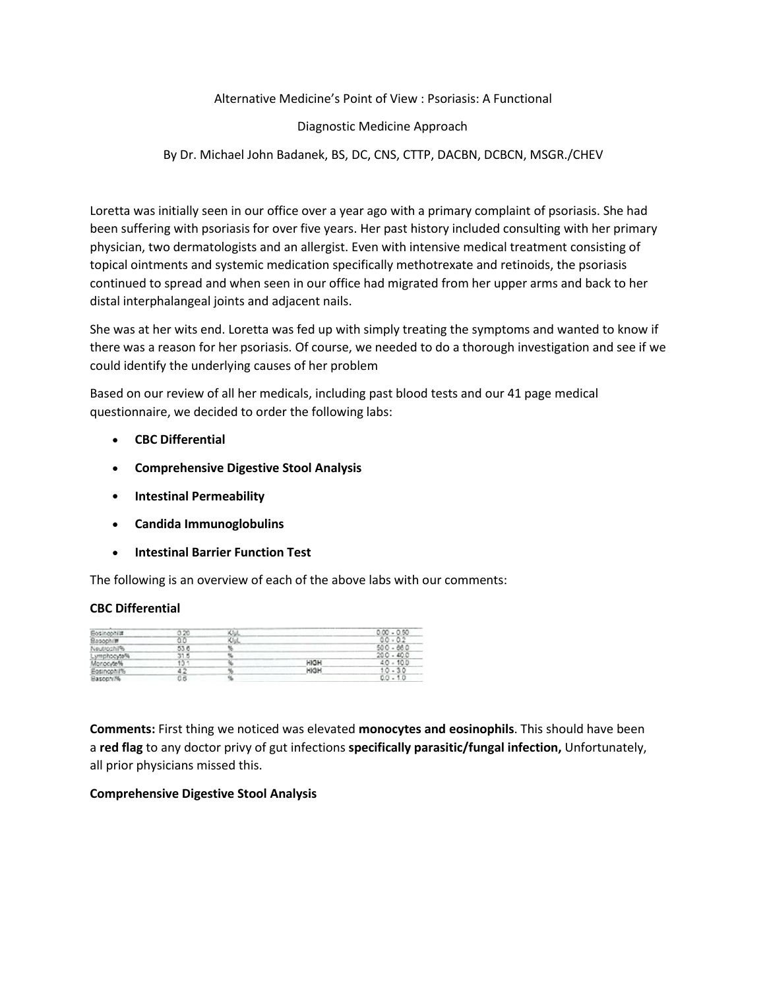Alternative Medicine's Point of View : Psoriasis: A Functional

Diagnostic Medicine Approach

By Dr. Michael John Badanek, BS, DC, CNS, CTTP, DACBN, DCBCN, MSGR./CHEV

Loretta was initially seen in our office over a year ago with a primary complaint of psoriasis. She had been suffering with psoriasis for over five years. Her past history included consulting with her primary physician, two dermatologists and an allergist. Even with intensive medical treatment consisting of topical ointments and systemic medication specifically methotrexate and retinoids, the psoriasis continued to spread and when seen in our office had migrated from her upper arms and back to her distal interphalangeal joints and adjacent nails.

She was at her wits end. Loretta was fed up with simply treating the symptoms and wanted to know if there was a reason for her psoriasis. Of course, we needed to do a thorough investigation and see if we could identify the underlying causes of her problem

Based on our review of all her medicals, including past blood tests and our 41 page medical questionnaire, we decided to order the following labs:

- **CBC Differential**
- **Comprehensive Digestive Stool Analysis**
- **Intestinal Permeability**
- **Candida Immunoglobulins**
- **Intestinal Barrier Function Test**

The following is an overview of each of the above labs with our comments:

#### **CBC Differential**

| <b>Eosingohiat</b>     |      |      | $0.00 - 0.50$ |
|------------------------|------|------|---------------|
| Basochim               |      |      | 00.02         |
| Neutrochin.            | 53.6 |      | $500 - 660$   |
| <b>ICINSOWAD56</b>     | з٦   |      | $200 - 400$   |
| Monocyte <sup>46</sup> |      | HIGH | 40.<br>100    |
| Fosinconi?»            |      | HIGH | D.<br>$\sim$  |
| Bascon 7%              | 0.6  |      | $0.0 - 1.0$   |

**Comments:** First thing we noticed was elevated **monocytes and eosinophils**. This should have been a **red flag** to any doctor privy of gut infections **specifically parasitic/fungal infection,** Unfortunately, all prior physicians missed this.

## **Comprehensive Digestive Stool Analysis**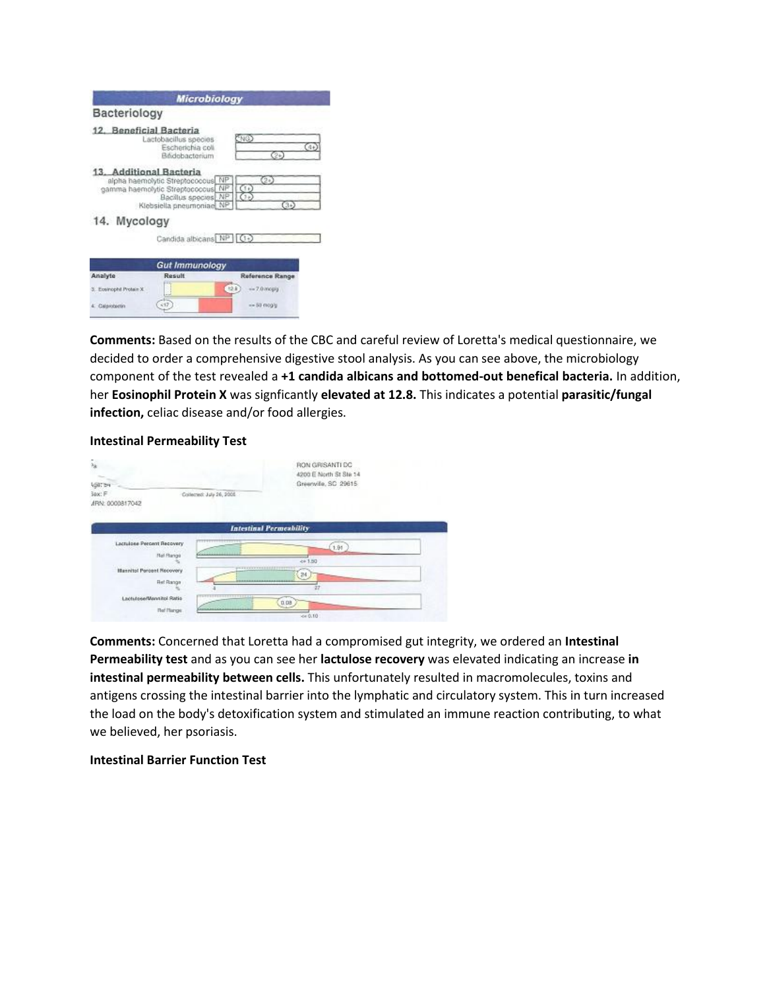|                          | <b>Microbiology</b>                                                                                                    |                                         |
|--------------------------|------------------------------------------------------------------------------------------------------------------------|-----------------------------------------|
| Bacteriology             |                                                                                                                        |                                         |
| 12. Beneficial Bacteria  | Lactobacillus species<br>Escherichia coli<br>Bitidobacterium                                                           | 5NG)<br>$(4 +$                          |
| 13. Additional Bacteria  | alpha haemolytic Streptococcus NP<br>gamma haemolytic Streptococcus<br>Bacillus species NP<br>Klebsiella pneumoniae NP | $\odot$<br>C(1)<br>NP<br>$(1+)$<br>(34) |
| 14. Mycology             |                                                                                                                        |                                         |
|                          | Candida albicans NP C+                                                                                                 |                                         |
|                          | <b>Gut Immunology</b>                                                                                                  |                                         |
| Analyte                  | Result                                                                                                                 | <b>Reference Range</b>                  |
| 3. Exsinophil Protain X. | - 1                                                                                                                    | t28<br>$=7.0$ incg/g                    |
| 4. Calandariin           | $-17$                                                                                                                  | $= 50$ mog/g                            |

**Comments:** Based on the results of the CBC and careful review of Loretta's medical questionnaire, we decided to order a comprehensive digestive stool analysis. As you can see above, the microbiology component of the test revealed a **+1 candida albicans and bottomed-out benefical bacteria.** In addition, her **Eosinophil Protein X** was signficantly **elevated at 12.8.** This indicates a potential **parasitic/fungal infection,** celiac disease and/or food allergies.

#### **Intestinal Permeability Test**

| $\tilde{\gamma}_R$<br><b>USITIN</b>                                                                                         | <b>RON GRISANTI DC</b><br>4200 E North St Sta 14<br>Greenville, SC 29615 |
|-----------------------------------------------------------------------------------------------------------------------------|--------------------------------------------------------------------------|
| Sax: F<br>Collected: July 26, 2006<br>ARN: 0000817042                                                                       |                                                                          |
|                                                                                                                             | <b>Intestinal Permeability</b>                                           |
| ,,,,,,,,,,,,,,,,,<br>Lactulate Percent Recovery<br><b>Nel Range</b><br><b>Hannitol Percent Recovery</b><br><b>Het Range</b> | 1.91<br>681.80<br><b>CONTRACTORS</b> CONTRACTORS<br>24                   |
| ___________<br><b>Lactidose/Mannitol Ratio</b><br><b>Ref Plange</b>                                                         | 0.08<br>$-0.10 - 0.$                                                     |

**Comments:** Concerned that Loretta had a compromised gut integrity, we ordered an **Intestinal Permeability test** and as you can see her **lactulose recovery** was elevated indicating an increase **in intestinal permeability between cells.** This unfortunately resulted in macromolecules, toxins and antigens crossing the intestinal barrier into the lymphatic and circulatory system. This in turn increased the load on the body's detoxification system and stimulated an immune reaction contributing, to what we believed, her psoriasis.

#### **Intestinal Barrier Function Test**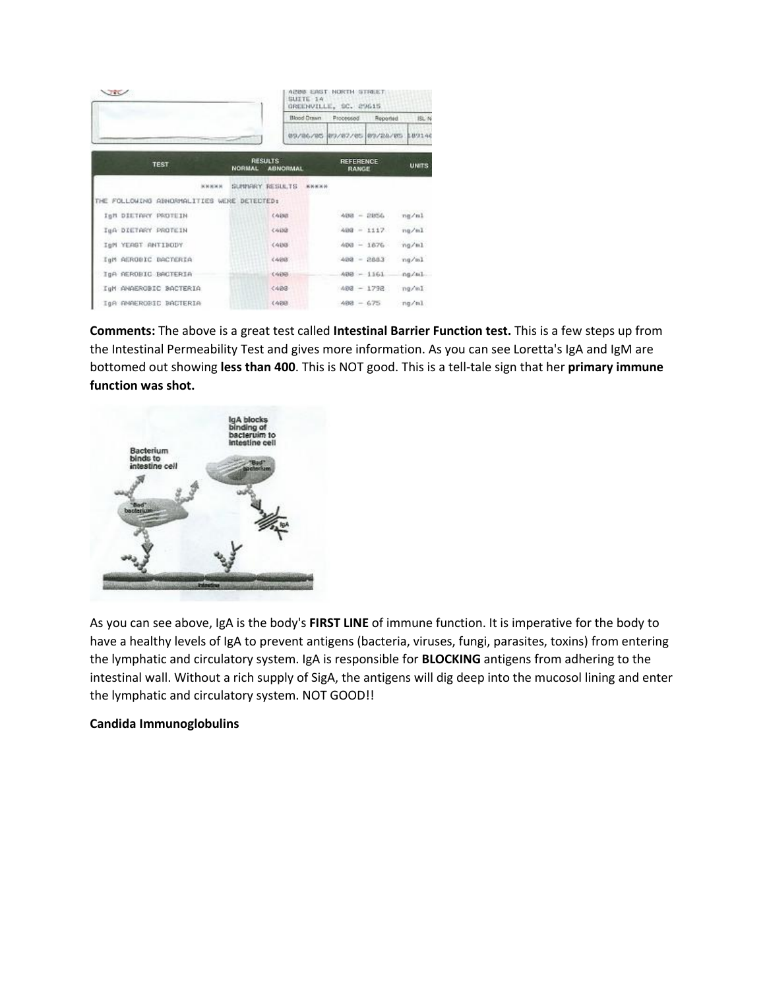| VIE                                        |                                                    | A200 EAST NORTH STREET<br>SUITE 14<br>GREENVILLE, SC. 29615 |              |  |  |
|--------------------------------------------|----------------------------------------------------|-------------------------------------------------------------|--------------|--|--|
|                                            | Blood Drawn                                        | Processed<br>Reported                                       | 15L N        |  |  |
|                                            |                                                    | 89/86/85 89/87/85 89/28/85 189140                           |              |  |  |
| <b>TEST</b>                                | <b>RESULTS</b><br><b>NORMAL</b><br><b>ABNORMAL</b> | <b>REFERENCE</b><br>RANGE                                   | <b>UNITS</b> |  |  |
| <b>KNNNN</b>                               | SUPPERY RESULTS KNAXA                              |                                                             |              |  |  |
| THE FOLLOWING ABNORMALITIES WERE DETECTED: |                                                    |                                                             |              |  |  |
| ISM DIETRRY PROTEIN                        | 2.499世                                             | $488 = 2856$                                                | ng/ml        |  |  |
| InA DIETARY PROTEIN                        | 0.498                                              | $488 = 1117$                                                | nn/ml        |  |  |
| IeM YEAST ANTIBODY                         | 0.4968                                             | $488 = 1876$                                                | ng/ml        |  |  |
| IgM AEROBIC BACTERIA                       | (488)                                              | $488 = 2883$                                                | ng/ml        |  |  |
| IgA REROBIC BACTERIA                       | 09/09/12                                           | $408 - 1161$                                                | ng/al        |  |  |
| IgM ANAEROBIC BACTERIA                     | (483)                                              | $488 - 1792$                                                | na/m1        |  |  |
| IGR RMMERORIC BACTERIA                     | 3,4693                                             | $488 - 675$                                                 | ng/ml        |  |  |

**Comments:** The above is a great test called **Intestinal Barrier Function test.** This is a few steps upfrom the Intestinal Permeability Test and gives more information. As you can see Loretta's IgA and IgM are bottomed out showing **less than 400**. This is NOT good. This is a tell-tale sign that her **primary immune function was shot.**



As you can see above, IgA is the body's **FIRST LINE** of immune function. It is imperative for the body to have a healthy levels of IgA to prevent antigens (bacteria, viruses, fungi, parasites, toxins) from entering the lymphatic and circulatory system. IgA is responsible for **BLOCKING** antigens from adhering to the intestinal wall. Without a rich supply of SigA, the antigens will dig deep into the mucosol lining and enter the lymphatic and circulatory system. NOT GOOD!!

## **Candida Immunoglobulins**